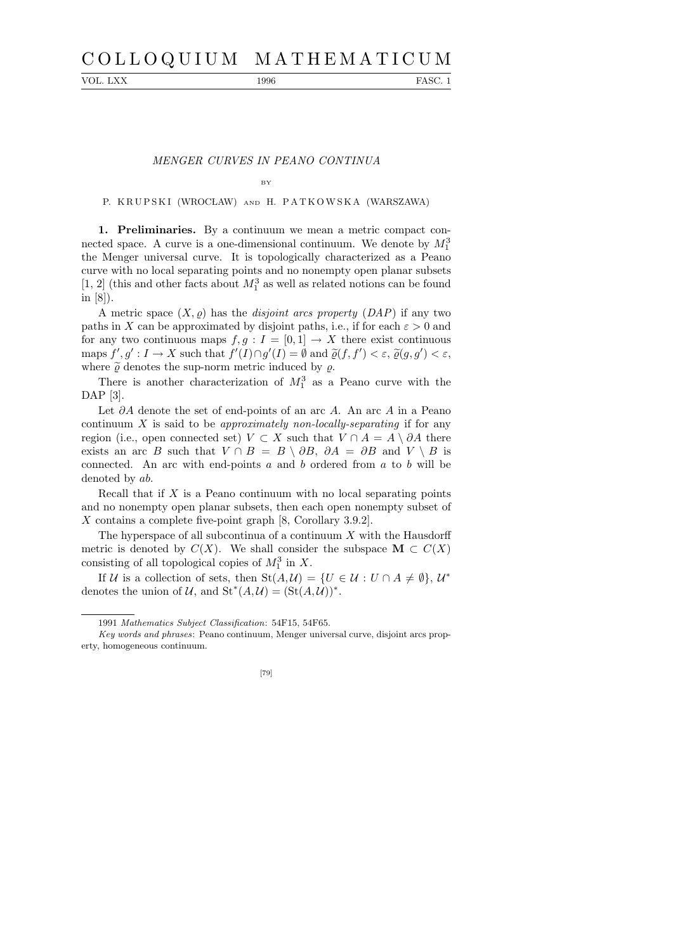# C O L L O Q U I U M M A T H E M A T I C U M

VOL. LXX 1996 FASC. 1

## MENGER CURVES IN PEANO CONTINUA

#### BY

# P. KRUPSKI (WROCŁAW) AND H. PATKOWSKA (WARSZAWA)

1. Preliminaries. By a continuum we mean a metric compact connected space. A curve is a one-dimensional continuum. We denote by  $M_1^3$ the Menger universal curve. It is topologically characterized as a Peano curve with no local separating points and no nonempty open planar subsets  $\left[1,\,2\right]$  (this and other facts about  $M_1^3$  as well as related notions can be found in [8]).

A metric space  $(X, \rho)$  has the *disjoint arcs property (DAP)* if any two paths in X can be approximated by disjoint paths, i.e., if for each  $\varepsilon > 0$  and for any two continuous maps  $f, g: I = [0, 1] \rightarrow X$  there exist continuous maps  $f', g' : I \to X$  such that  $f'(I) \cap g'(I) = \emptyset$  and  $\tilde{\varrho}(f, f') < \varepsilon$ ,  $\tilde{\varrho}(g, g') < \varepsilon$ , where  $\tilde{\varrho}$  denotes the sup-norm metric induced by  $\varrho$ .

There is another characterization of  $M_1^3$  as a Peano curve with the DAP [3].

Let  $\partial A$  denote the set of end-points of an arc A. An arc A in a Peano continuum X is said to be *approximately non-locally-separating* if for any region (i.e., open connected set)  $V \subset X$  such that  $V \cap A = A \setminus \partial A$  there exists an arc B such that  $V \cap B = B \setminus \partial B$ ,  $\partial A = \partial B$  and  $V \setminus B$  is connected. An arc with end-points  $a$  and  $b$  ordered from  $a$  to  $b$  will be denoted by ab.

Recall that if  $X$  is a Peano continuum with no local separating points and no nonempty open planar subsets, then each open nonempty subset of X contains a complete five-point graph [8, Corollary 3.9.2].

The hyperspace of all subcontinua of a continuum  $X$  with the Hausdorff metric is denoted by  $C(X)$ . We shall consider the subspace  $\mathbf{M} \subset C(X)$ consisting of all topological copies of  $M_1^3$  in X.

If U is a collection of sets, then  $St(A, \mathcal{U}) = \{U \in \mathcal{U} : U \cap A \neq \emptyset\}, \mathcal{U}^*$ denotes the union of U, and  $\mathrm{St}^*(A, \mathcal{U}) = (\mathrm{St}(A, \mathcal{U}))^*$ .

*Key words and phrases*: Peano continuum, Menger universal curve, disjoint arcs property, homogeneous continuum.



<sup>1991</sup> *Mathematics Subject Classification*: 54F15, 54F65.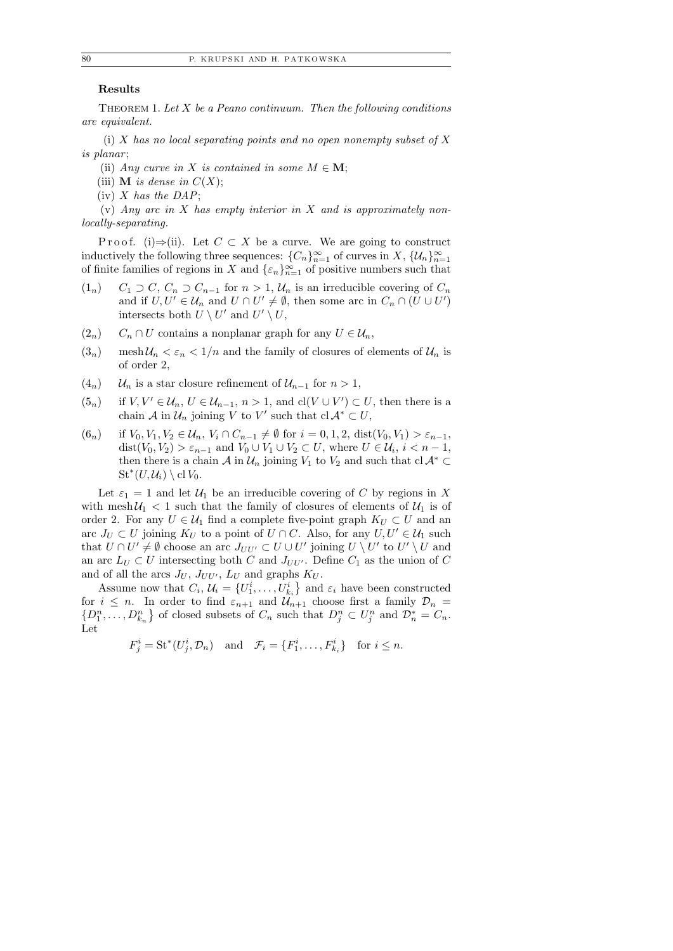# Results

THEOREM 1. Let  $X$  be a Peano continuum. Then the following conditions are equivalent.

(i) X has no local separating points and no open nonempty subset of X is planar;

- (ii) Any curve in X is contained in some  $M \in \mathbf{M}$ ;
- (iii) **M** is dense in  $C(X)$ ;
- (iv)  $X$  has the DAP;

(v) Any arc in  $X$  has empty interior in  $X$  and is approximately nonlocally-separating.

P r o o f. (i)  $\Rightarrow$  (ii). Let  $C \subset X$  be a curve. We are going to construct inductively the following three sequences:  ${C_n}_{n=1}^{\infty}$  of curves in X,  $\{\mathcal{U}_n\}_{n=1}^{\infty}$ of finite families of regions in X and  $\{\varepsilon_n\}_{n=1}^{\infty}$  of positive numbers such that

- $(1_n)$  C<sub>1</sub> ⊃ C, C<sub>n</sub> ⊃ C<sub>n−1</sub> for  $n > 1$ , U<sub>n</sub> is an irreducible covering of C<sub>n</sub> and if  $U, U' \in \mathcal{U}_n$  and  $U \cap U' \neq \emptyset$ , then some arc in  $C_n \cap (U \cup U')$ intersects both  $U \setminus U'$  and  $U' \setminus U$ ,
- $(2_n)$  C<sub>n</sub> ∩ U contains a nonplanar graph for any  $U \in \mathcal{U}_n$ ,
- $(3_n)$  mesh  $\mathcal{U}_n < \varepsilon_n < 1/n$  and the family of closures of elements of  $\mathcal{U}_n$  is of order 2,
- $(4<sub>n</sub>)$  U<sub>n</sub> is a star closure refinement of  $U<sub>n-1</sub>$  for  $n > 1$ ,
- $(5_n)$  if  $V, V' \in \mathcal{U}_n$ ,  $U \in \mathcal{U}_{n-1}$ ,  $n > 1$ , and  $cl(V \cup V') \subset U$ , then there is a chain  $\mathcal A$  in  $\mathcal U_n$  joining V to V' such that  $cl \mathcal A^* \subset U$ ,
- $(6_n)$  if  $V_0, V_1, V_2 \in \mathcal{U}_n$ ,  $V_i \cap C_{n-1} \neq \emptyset$  for  $i = 0, 1, 2$ , dist $(V_0, V_1) > \varepsilon_{n-1}$ ,  $dist(V_0, V_2) > \varepsilon_{n-1}$  and  $V_0 \cup V_1 \cup V_2 \subset U$ , where  $U \in \mathcal{U}_i$ ,  $i < n-1$ , then there is a chain A in  $\mathcal{U}_n$  joining  $V_1$  to  $V_2$  and such that  $cl \mathcal{A}^* \subset$  $\operatorname{St}^*(U, \mathcal U_i) \setminus \operatorname{cl} V_0.$

Let  $\varepsilon_1 = 1$  and let  $\mathcal{U}_1$  be an irreducible covering of C by regions in X with mesh  $U_1 < 1$  such that the family of closures of elements of  $U_1$  is of order 2. For any  $U \in \mathcal{U}_1$  find a complete five-point graph  $K_U \subset U$  and an arc  $J_U \subset U$  joining  $K_U$  to a point of  $U \cap C$ . Also, for any  $U, U' \in \mathcal{U}_1$  such that  $U \cap U' \neq \emptyset$  choose an arc  $J_{UU'} \subset U \cup U'$  joining  $U \setminus U'$  to  $U' \setminus U$  and an arc  $L_U \subset U$  intersecting both C and  $J_{UU'}$ . Define  $C_1$  as the union of C and of all the arcs  $J_U$ ,  $J_{UU'}$ ,  $L_U$  and graphs  $K_U$ .

Assume now that  $C_i$ ,  $\mathcal{U}_i = \{U_1^i, \ldots, U_{k_i}^i\}$  and  $\varepsilon_i$  have been constructed for  $i \leq n$ . In order to find  $\varepsilon_{n+1}$  and  $\mathcal{U}_{n+1}$  choose first a family  $\mathcal{D}_n =$  $\{D_1^n, \ldots, D_{k_n}^n\}$  of closed subsets of  $C_n$  such that  $D_j^n \subset U_j^n$  and  $\mathcal{D}_n^* = C_n$ . Let

$$
F_j^i = \mathrm{St}^*(U_j^i, \mathcal{D}_n) \quad \text{and} \quad \mathcal{F}_i = \{F_1^i, \dots, F_{k_i}^i\} \quad \text{for } i \leq n.
$$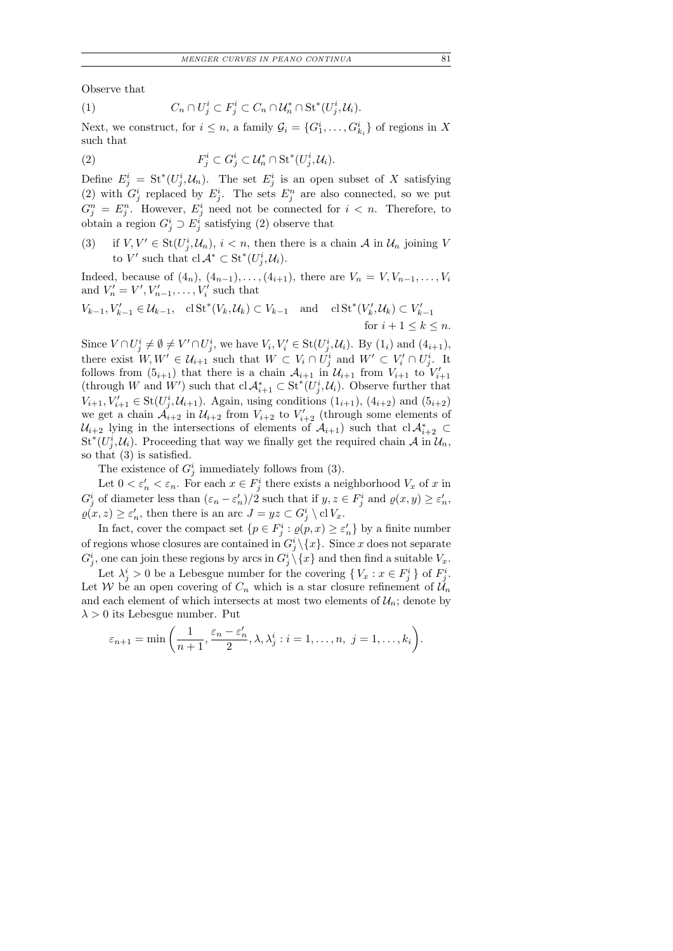Observe that

$$
(1) \tC_n \cap U_j^i \subset F_j^i \subset C_n \cap \mathcal{U}_n^* \cap \text{St}^*(U_j^i, \mathcal{U}_i).
$$

Next, we construct, for  $i \leq n$ , a family  $\mathcal{G}_i = \{G_1^i, \ldots, G_{k_i}^i\}$  of regions in X such that

 $(2)$  $g_j^i \subset G_j^i \subset \mathcal{U}_n^* \cap \operatorname{St}^*(U_j^i, \mathcal{U}_i).$ 

Define  $E_j^i = \mathrm{St}^*(U_j^i, \mathcal{U}_n)$ . The set  $E_j^i$  is an open subset of X satisfying (2) with  $G_j^i$  replaced by  $E_j^i$ . The sets  $E_j^n$  are also connected, so we put  $G_j^n = E_j^n$ . However,  $E_j^i$  need not be connected for  $i < n$ . Therefore, to obtain a region  $G_j^i \supset E_j^i$  satisfying (2) observe that

(3) if  $V, V' \in \text{St}(U_j^i, \mathcal{U}_n), i < n$ , then there is a chain A in  $\mathcal{U}_n$  joining V to V' such that  $\mathrm{cl}\,\mathcal{A}^* \subset \mathrm{St}^*(U_j^i, \mathcal{U}_i)$ .

Indeed, because of  $(4_n)$ ,  $(4_{n-1}), \ldots, (4_{i+1})$ , there are  $V_n = V, V_{n-1}, \ldots, V_i$ and  $V'_{n} = V', V'_{n-1}, \ldots, V'_{i}$  such that

$$
V_{k-1}, V_{k-1}' \in \mathcal{U}_{k-1}, \quad \text{cl} \operatorname{St}^*(V_k, \mathcal{U}_k) \subset V_{k-1} \quad \text{and} \quad \operatorname{cl} \operatorname{St}^*(V_k', \mathcal{U}_k) \subset V_{k-1}' \quad \text{for} \quad i+1 \le k \le n.
$$

Since  $V \cap U_j^i \neq \emptyset \neq V' \cap U_j^i$ , we have  $V_i, V_i' \in \text{St}(U_j^i, \mathcal{U}_i)$ . By  $(1_i)$  and  $(4_{i+1})$ , there exist  $W, W' \in \mathcal{U}_{i+1}$  such that  $W \subset V_i \cap U_j^i$  and  $W' \subset V'_i \cap U_j^i$ . It follows from  $(5_{i+1})$  that there is a chain  $\mathcal{A}_{i+1}$  in  $\mathcal{U}_{i+1}$  from  $V_{i+1}$  to  $V'_{i+1}$ (through W and W') such that  $cl \mathcal{A}_{i+1}^* \subset \operatorname{St}^*(U_j^i, \mathcal{U}_i)$ . Observe further that  $V_{i+1}, V'_{i+1} \in \text{St}(U^i_j, \mathcal{U}_{i+1})$ . Again, using conditions  $(1_{i+1}), (4_{i+2})$  and  $(5_{i+2})$ we get a chain  $\mathcal{A}_{i+2}$  in  $\mathcal{U}_{i+2}$  from  $V_{i+2}$  to  $V'_{i+2}$  (through some elements of  $\mathcal{U}_{i+2}$  lying in the intersections of elements of  $\mathcal{A}_{i+1}$ ) such that  $cl \mathcal{A}_{i+2}^* \subset$  $\mathrm{St}^*(U_j^i,\mathcal{U}_i)$ . Proceeding that way we finally get the required chain  $\mathcal{A}$  in  $\mathcal{U}_n$ , so that (3) is satisfied.

The existence of  $G_j^i$  immediately follows from (3).

Let  $0 < \varepsilon'_n < \varepsilon_n$ . For each  $x \in F_j^i$  there exists a neighborhood  $V_x$  of x in  $G_j^i$  of diameter less than  $(\varepsilon_n - \varepsilon_n')/2$  such that if  $y, z \in F_j^i$  and  $\rho(x, y) \ge \varepsilon_n'$ ,  $\rho(x, z) \geq \varepsilon'_n$ , then there is an arc  $J = yz \subset G^i_j \setminus \text{cl} V_x$ .

In fact, cover the compact set  $\{p \in F_j^i : \varrho(p, x) \ge \varepsilon_n'\}$  by a finite number of regions whose closures are contained in  $G_j^i \setminus \{x\}$ . Since x does not separate  $G_j^i$ , one can join these regions by arcs in  $G_j^i \setminus \{x\}$  and then find a suitable  $V_x$ .

Let  $\lambda_j^i > 0$  be a Lebesgue number for the covering  $\{V_x : x \in F_j^i\}$  of  $F_j^i$ . Let W be an open covering of  $C_n$  which is a star closure refinement of  $\mathcal{U}_n$ and each element of which intersects at most two elements of  $\mathcal{U}_n$ ; denote by  $\lambda > 0$  its Lebesgue number. Put

$$
\varepsilon_{n+1} = \min\left(\frac{1}{n+1}, \frac{\varepsilon_n - \varepsilon'_n}{2}, \lambda, \lambda_j^i : i = 1, \dots, n, \ j = 1, \dots, k_i\right).
$$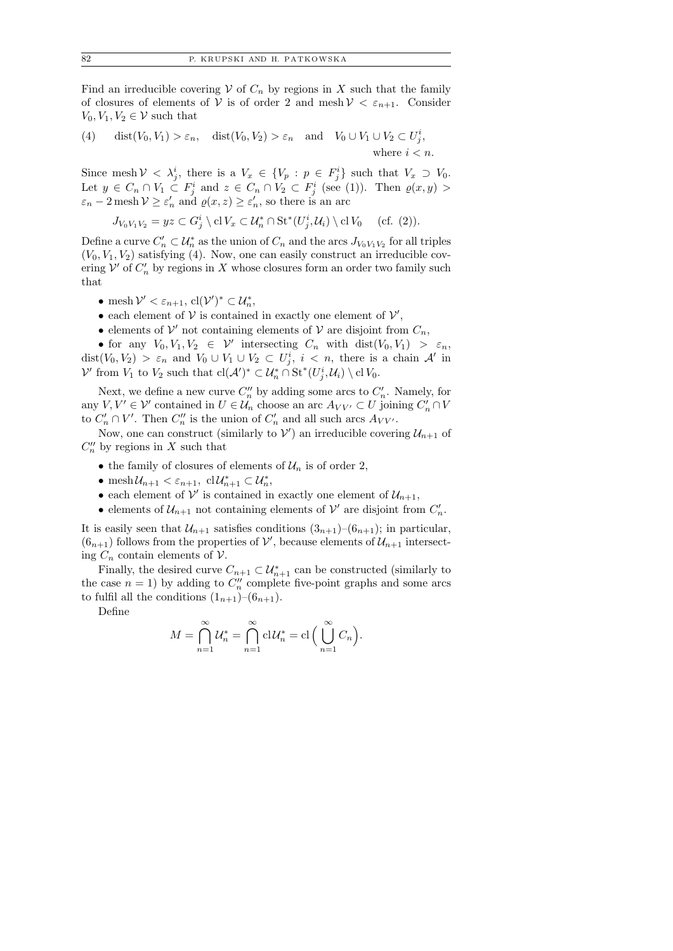Find an irreducible covering  $V$  of  $C_n$  by regions in X such that the family of closures of elements of V is of order 2 and mesh  $V < \varepsilon_{n+1}$ . Consider  $V_0, V_1, V_2 \in \mathcal{V}$  such that

(4) 
$$
\text{dist}(V_0, V_1) > \varepsilon_n, \quad \text{dist}(V_0, V_2) > \varepsilon_n \quad \text{and} \quad V_0 \cup V_1 \cup V_2 \subset U_j^i, \quad \text{where } i < n.
$$

Since mesh  $V \langle \lambda_j^i, \lambda_j^i \rangle$  there is a  $V_x \in \{V_p : p \in F_j^i\}$  such that  $V_x \supset V_0$ . Let  $y \in C_n \cap V_1 \subset F_j^i$  and  $z \in C_n \cap V_2 \subset F_j^i$  (see (1)). Then  $\varrho(x, y)$  $\varepsilon_n - 2$  mesh  $\mathcal{V} \ge \varepsilon_n'$  and  $\rho(x, z) \ge \varepsilon_n'$ , so there is an arc

$$
J_{V_0V_1V_2} = yz \subset G_j^i \setminus \text{cl } V_x \subset \mathcal{U}_n^* \cap \text{St}^*(U_j^i, \mathcal{U}_i) \setminus \text{cl } V_0 \quad \text{(cf. (2))}.
$$

Define a curve  $C'_n \subset \mathcal{U}_n^*$  as the union of  $C_n$  and the arcs  $J_{V_0 V_1 V_2}$  for all triples  $(V_0, V_1, V_2)$  satisfying (4). Now, one can easily construct an irreducible covering  $\mathcal V'$  of  $C'_n$  by regions in X whose closures form an order two family such that

- mesh  $\mathcal{V}' < \varepsilon_{n+1}$ ,  $\text{cl}(\mathcal{V}')^* \subset \mathcal{U}_n^*$ ,
- each element of  $V$  is contained in exactly one element of  $V'$ ,
- elements of  $\mathcal V'$  not containing elements of  $\mathcal V$  are disjoint from  $C_n$ ,

• for any  $V_0, V_1, V_2 \in \mathcal{V}'$  intersecting  $C_n$  with  $dist(V_0, V_1) > \varepsilon_n$ ,  $dist(V_0, V_2) > \varepsilon_n$  and  $V_0 \cup V_1 \cup V_2 \subset U_j^i$ ,  $i < n$ , there is a chain A' in  $\mathcal{V}'$  from  $V_1$  to  $V_2$  such that  $\text{cl}(\mathcal{A}')^* \subset \mathcal{U}_n^* \cap \text{St}^*(U_j^i, \mathcal{U}_i) \setminus \text{cl } V_0$ .

Next, we define a new curve  $C_n''$  by adding some arcs to  $C_n'$ . Namely, for any  $V, V' \in V'$  contained in  $U \in \mathcal{U}_n$  choose an arc  $A_{VV'} \subset U$  joining  $C'_n \cap V$ to  $C'_n \cap V'$ . Then  $C''_n$  is the union of  $C'_n$  and all such arcs  $A_{VV'}$ .

Now, one can construct (similarly to  $\mathcal{V}'$ ) an irreducible covering  $\mathcal{U}_{n+1}$  of  $C_n''$  by regions in X such that

- the family of closures of elements of  $\mathcal{U}_n$  is of order 2,
- mesh $\mathcal{U}_{n+1} < \varepsilon_{n+1}$ , cl $\mathcal{U}_{n+1}^* \subset \mathcal{U}_n^*$ ,
- each element of  $\mathcal{V}'$  is contained in exactly one element of  $\mathcal{U}_{n+1}$ ,
- elements of  $\mathcal{U}_{n+1}$  not containing elements of  $\mathcal{V}'$  are disjoint from  $C'_n$ .

It is easily seen that  $\mathcal{U}_{n+1}$  satisfies conditions  $(3_{n+1})-(6_{n+1})$ ; in particular,  $(6_{n+1})$  follows from the properties of  $\mathcal{V}'$ , because elements of  $\mathcal{U}_{n+1}$  intersecting  $C_n$  contain elements of  $\mathcal V$ .

Finally, the desired curve  $C_{n+1} \subset \mathcal{U}_{n+1}^*$  can be constructed (similarly to the case  $n = 1$ ) by adding to  $C''_n$  complete five-point graphs and some arcs to fulfil all the conditions  $(1_{n+1})-(6_{n+1}).$ 

Define

$$
M = \bigcap_{n=1}^{\infty} \mathcal{U}_n^* = \bigcap_{n=1}^{\infty} \mathrm{cl}\,\mathcal{U}_n^* = \mathrm{cl}\,\Big(\bigcup_{n=1}^{\infty} C_n\Big).
$$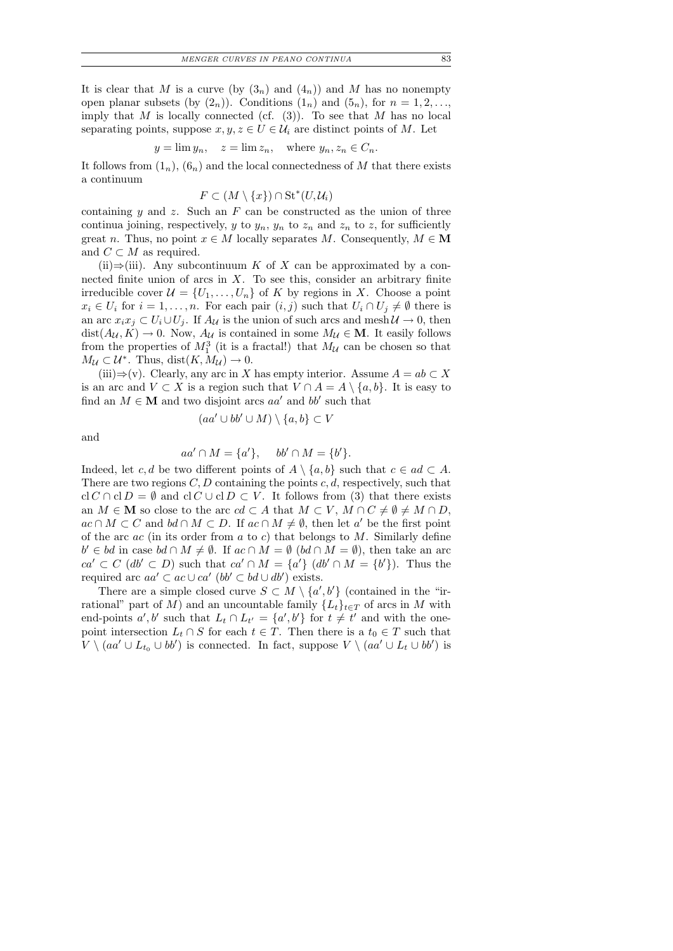It is clear that M is a curve (by  $(3_n)$  and  $(4_n)$ ) and M has no nonempty open planar subsets (by  $(2_n)$ ). Conditions  $(1_n)$  and  $(5_n)$ , for  $n = 1, 2, \ldots$ imply that M is locally connected (cf.  $(3)$ ). To see that M has no local separating points, suppose  $x, y, z \in U \in \mathcal{U}_i$  are distinct points of M. Let

$$
y = \lim y_n
$$
,  $z = \lim z_n$ , where  $y_n, z_n \in C_n$ .

It follows from  $(1_n)$ ,  $(6_n)$  and the local connectedness of M that there exists a continuum

$$
F \subset (M \setminus \{x\}) \cap \operatorname{St}^*(U, U_i)
$$

containing y and z. Such an  $F$  can be constructed as the union of three continua joining, respectively, y to  $y_n$ ,  $y_n$  to  $z_n$  and  $z_n$  to z, for sufficiently great n. Thus, no point  $x \in M$  locally separates M. Consequently,  $M \in M$ and  $C \subset M$  as required.

(ii)⇒(iii). Any subcontinuum K of X can be approximated by a connected finite union of arcs in  $X$ . To see this, consider an arbitrary finite irreducible cover  $\mathcal{U} = \{U_1, \ldots, U_n\}$  of K by regions in X. Choose a point  $x_i \in U_i$  for  $i = 1, \ldots, n$ . For each pair  $(i, j)$  such that  $U_i \cap U_j \neq \emptyset$  there is an arc  $x_ix_j \,\subset U_i \cup U_j$ . If  $A_{\mathcal{U}}$  is the union of such arcs and mesh  $\mathcal{U} \to 0$ , then  $dist(A_{\mathcal{U}}, K) \to 0$ . Now,  $A_{\mathcal{U}}$  is contained in some  $M_{\mathcal{U}} \in \mathbf{M}$ . It easily follows from the properties of  $M_1^3$  (it is a fractal!) that  $M_{\mathcal{U}}$  can be chosen so that  $M_{\mathcal{U}} \subset \mathcal{U}^*$ . Thus, dist $(K, M_{\mathcal{U}}) \to 0$ .

(iii) $\Rightarrow$ (v). Clearly, any arc in X has empty interior. Assume  $A = ab \subset X$ is an arc and  $V \subset X$  is a region such that  $V \cap A = A \setminus \{a, b\}$ . It is easy to find an  $M \in \mathbf{M}$  and two disjoint arcs  $aa'$  and  $bb'$  such that

$$
(aa' \cup bb' \cup M) \setminus \{a, b\} \subset V
$$

and

$$
aa' \cap M = \{a'\}, \quad bb' \cap M = \{b'\}.
$$

Indeed, let c, d be two different points of  $A \setminus \{a, b\}$  such that  $c \in ad \subset A$ . There are two regions  $C, D$  containing the points  $c, d$ , respectively, such that cl C ∩ cl D =  $\emptyset$  and cl C ∪ cl D ⊂ V. It follows from (3) that there exists an  $M \in \mathbf{M}$  so close to the arc  $cd \subset A$  that  $M \subset V$ ,  $M \cap C \neq \emptyset \neq M \cap D$ ,  $ac \cap M \subset C$  and  $bd \cap M \subset D$ . If  $ac \cap M \neq \emptyset$ , then let a' be the first point of the arc  $ac$  (in its order from  $a$  to  $c$ ) that belongs to  $M$ . Similarly define  $b' \in bd$  in case  $bd \cap M \neq \emptyset$ . If  $ac \cap M = \emptyset$   $(bd \cap M = \emptyset)$ , then take an arc  $ca' \subset C$   $(db' \subset D)$  such that  $ca' \cap M = \{a'\}$   $(db' \cap M = \{b'\})$ . Thus the required arc  $aa' \subset ac \cup ca'$   $(bb' \subset bd \cup db')$  exists.

There are a simple closed curve  $S \subset M \setminus \{a',b'\}$  (contained in the "irrational" part of M) and an uncountable family  $\{L_t\}_{t\in T}$  of arcs in M with end-points  $a', b'$  such that  $L_t \cap L_{t'} = \{a', b'\}$  for  $t \neq t'$  and with the onepoint intersection  $L_t \cap S$  for each  $t \in T$ . Then there is a  $t_0 \in T$  such that  $V \setminus (aa' \cup L_{t_0} \cup bb')$  is connected. In fact, suppose  $V \setminus (aa' \cup L_t \cup bb')$  is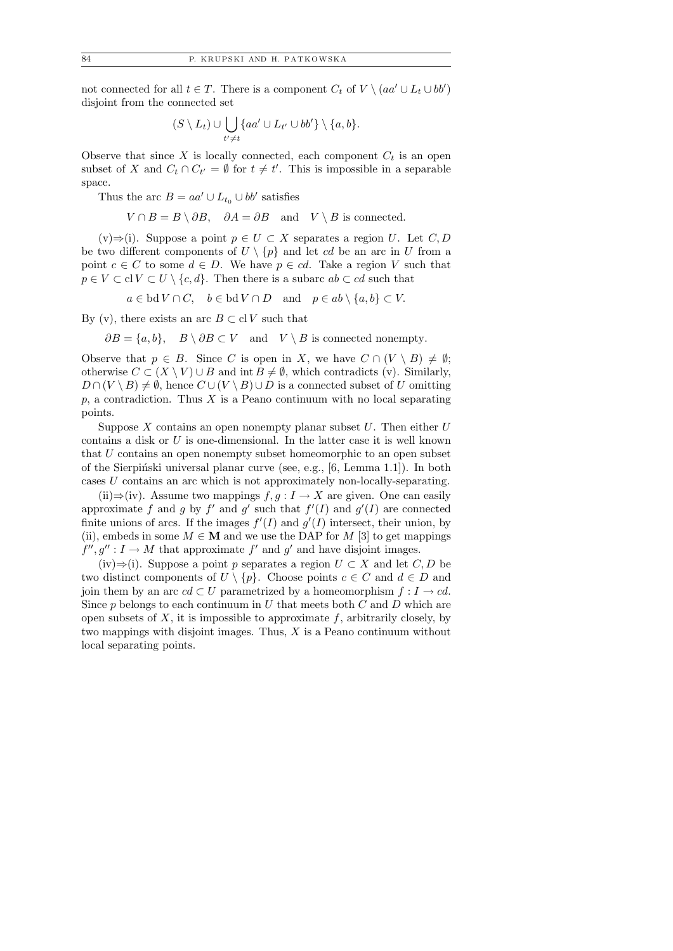not connected for all  $t \in T$ . There is a component  $C_t$  of  $V \setminus (aa' \cup L_t \cup bb')$ disjoint from the connected set

$$
(S \setminus L_t) \cup \bigcup_{t' \neq t} \{aa' \cup L_{t'} \cup bb'\} \setminus \{a, b\}.
$$

Observe that since  $X$  is locally connected, each component  $C_t$  is an open subset of X and  $C_t \cap C_{t'} = \emptyset$  for  $t \neq t'$ . This is impossible in a separable space.

Thus the arc  $B = aa' \cup L_{t_0} \cup bb'$  satisfies

 $V \cap B = B \setminus \partial B$ ,  $\partial A = \partial B$  and  $V \setminus B$  is connected.

 $(v) \Rightarrow (i)$ . Suppose a point  $p \in U \subset X$  separates a region U. Let C, D be two different components of  $U \setminus \{p\}$  and let cd be an arc in U from a point  $c \in C$  to some  $d \in D$ . We have  $p \in cd$ . Take a region V such that  $p \in V \subset \text{cl } V \subset U \setminus \{c, d\}.$  Then there is a subarc  $ab \subset cd$  such that

 $a \in bd V \cap C$ ,  $b \in bd V \cap D$  and  $p \in ab \setminus \{a, b\} \subset V$ .

By (v), there exists an arc  $B \subset \text{cl } V$  such that

 $\partial B = \{a, b\}, \quad B \setminus \partial B \subset V \quad \text{and} \quad V \setminus B \text{ is connected nonempty.}$ 

Observe that  $p \in B$ . Since C is open in X, we have  $C \cap (V \setminus B) \neq \emptyset$ ; otherwise  $C \subset (X \setminus V) \cup B$  and int  $B \neq \emptyset$ , which contradicts (v). Similarly,  $D \cap (V \setminus B) \neq \emptyset$ , hence  $C \cup (V \setminus B) \cup D$  is a connected subset of U omitting  $p$ , a contradiction. Thus  $X$  is a Peano continuum with no local separating points.

Suppose X contains an open nonempty planar subset  $U$ . Then either  $U$ contains a disk or U is one-dimensional. In the latter case it is well known that  $U$  contains an open nonempty subset homeomorphic to an open subset of the Sierpinski universal planar curve (see, e.g.,  $[6, \text{Lemma } 1.1]$ ). In both cases U contains an arc which is not approximately non-locally-separating.

(ii)⇒(iv). Assume two mappings  $f, g: I \to X$  are given. One can easily approximate f and g by f' and g' such that  $f'(I)$  and  $g'(I)$  are connected finite unions of arcs. If the images  $f'(I)$  and  $g'(I)$  intersect, their union, by (ii), embeds in some  $M \in \mathbf{M}$  and we use the DAP for M [3] to get mappings  $f'', g'': I \to M$  that approximate  $f'$  and  $g'$  and have disjoint images.

(iv)⇒(i). Suppose a point p separates a region  $U \subset X$  and let  $C, D$  be two distinct components of  $U \setminus \{p\}$ . Choose points  $c \in C$  and  $d \in D$  and join them by an arc  $cd \subset U$  parametrized by a homeomorphism  $f : I \to cd$ . Since  $p$  belongs to each continuum in  $U$  that meets both  $C$  and  $D$  which are open subsets of  $X$ , it is impossible to approximate  $f$ , arbitrarily closely, by two mappings with disjoint images. Thus,  $X$  is a Peano continuum without local separating points.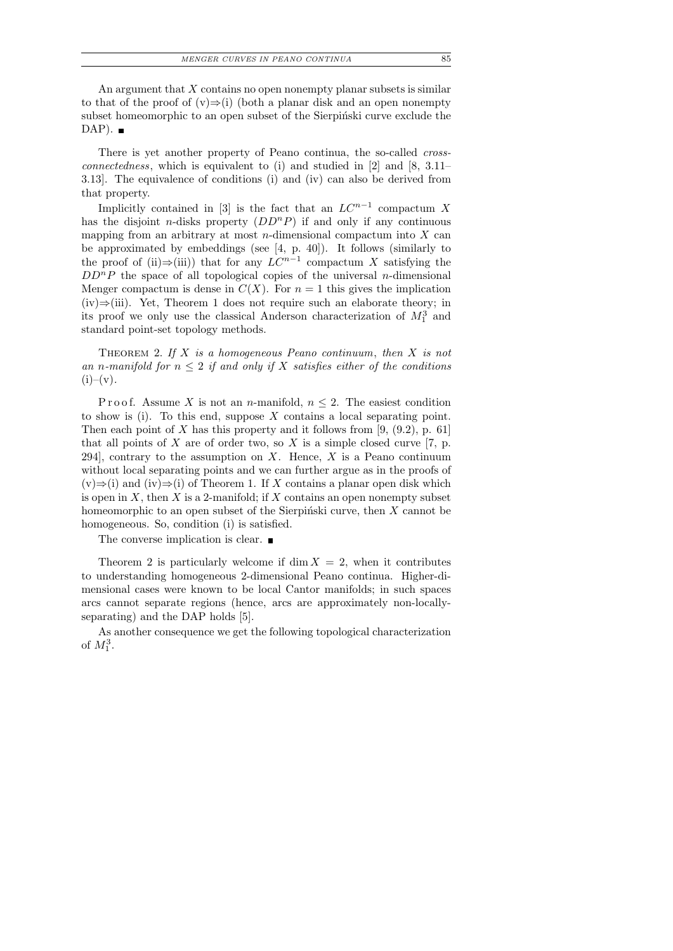An argument that  $X$  contains no open nonempty planar subsets is similar to that of the proof of  $(v) \Rightarrow (i)$  (both a planar disk and an open nonempty subset homeomorphic to an open subset of the Sierpinski curve exclude the  $DAP$ ).

There is yet another property of Peano continua, the so-called *crossconnectedness*, which is equivalent to (i) and studied in  $[2]$  and  $[8, 3.11-$ 3.13]. The equivalence of conditions (i) and (iv) can also be derived from that property.

Implicitly contained in [3] is the fact that an  $LC^{n-1}$  compactum X has the disjoint *n*-disks property  $(DD^nP)$  if and only if any continuous mapping from an arbitrary at most *n*-dimensional compactum into  $X$  can be approximated by embeddings (see [4, p. 40]). It follows (similarly to the proof of (ii) $\Rightarrow$ (iii)) that for any  $LC^{n-1}$  compactum X satisfying the  $DD^{n}P$  the space of all topological copies of the universal n-dimensional Menger compactum is dense in  $C(X)$ . For  $n = 1$  this gives the implication (iv)⇒(iii). Yet, Theorem 1 does not require such an elaborate theory; in its proof we only use the classical Anderson characterization of  $M_1^3$  and standard point-set topology methods.

THEOREM 2. If  $X$  is a homogeneous Peano continuum, then  $X$  is not an n-manifold for  $n \leq 2$  if and only if X satisfies either of the conditions  $(i)$ – $(v)$ .

P r o o f. Assume X is not an n-manifold,  $n \leq 2$ . The easiest condition to show is (i). To this end, suppose  $X$  contains a local separating point. Then each point of X has this property and it follows from  $[9, (9.2), p. 61]$ that all points of X are of order two, so X is a simple closed curve [7, p. 294, contrary to the assumption on  $X$ . Hence,  $X$  is a Peano continuum without local separating points and we can further argue as in the proofs of  $(v) \Rightarrow (i)$  and  $(iv) \Rightarrow (i)$  of Theorem 1. If X contains a planar open disk which is open in X, then X is a 2-manifold; if X contains an open nonempty subset homeomorphic to an open subset of the Sierpiński curve, then  $X$  cannot be homogeneous. So, condition (i) is satisfied.

The converse implication is clear.  $\blacksquare$ 

Theorem 2 is particularly welcome if  $\dim X = 2$ , when it contributes to understanding homogeneous 2-dimensional Peano continua. Higher-dimensional cases were known to be local Cantor manifolds; in such spaces arcs cannot separate regions (hence, arcs are approximately non-locallyseparating) and the DAP holds [5].

As another consequence we get the following topological characterization of  $M_1^3$ .